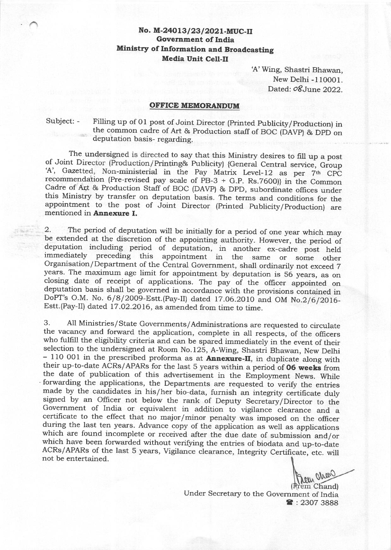## No. M-24013/23/2021-MUC-II Government of India Ministry of Information and Broadcasting Media Unit Cell-il

A' Wing, Shastri Bhawan, New Delhi -110001. Dated: oSJune 2022.

## OFFICE MEMORANDUM

Subject: - Filling up of 01 post of Joint Director (Printed Publicity/Production) in the common cadre of Art & Production staff of BOC (DAVP) & DPD on deputation basis- regarding.

The undersigned is directed to say that this Ministry desires to fill up a post<br>of Joint Director (Production/Printing& Publicity) {General Central service, Group<br>'A', Gazetted, Non-ministerial in the Pay Matrix Level-12

2. The period of deputation will be initially for a period of one year which may<br>be extended at the discretion of the appointing authority. However, the period of<br>deputation including period of deputation, in another ex-ca closing date of receipt of applications. The pay of the officer appointed on deputation basis shall be governed in accordance with the provisions contained in DoPT's O.M. No.  $6/8/2009$ -Estt.(Pay-II) dated 17.06.2010 and Estt.(Pay-II) dated 17.o2.2o16, as amended from time to time.

3. All Ministries/State Governments/Administrations are requested to circulate the vacancy and forward the application, complete in all respects, of the officers who fulfill the eligibility criteria and can be spared immed selection to the undersigned at Room No.125, A-Wing, Shastri Bhawan, New Delhi - 110 001 in the prescribed proforma as at **Annexure-II**, in duplicate along with their up-to-date ACRs/APARs for the last 5 years within a period of **06 weeks** from<br>the date of publication of this advertisement in the Employment News. While<br>forwarding the applications, the Departments are requested to during the last ten years. Advance copy of the application as well as applications which are found incomplete or received after the due date of submission and/or which have been forwarded without verifying the entries of b not be entertained.

From ahow (Prem Chand)

Under Secretary to the Government of India **R**: 2307 3888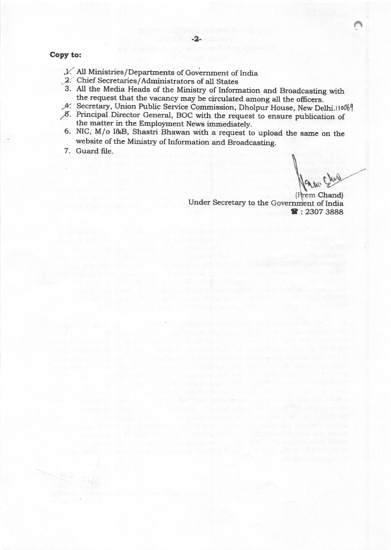### Copy to:

- $V$ . All Ministries/Departments of Government of India
- \_2:" Chief Secretaries/Administrators of all States
- 3. All the Media Heads of the Ministry of Information and Broadcasting with the request that the vacancy may be circulated among all the officers.
- 4. Secretary, Union Public Service Commission, Dholpur House, New Delhi.110069
- ,F. Principal Director General, BOC with the request to ensure publication of the matter in the Employment News immediately.
- 6. NIC, M/o I&B, Shastri Bhawan with a request to upload the same on the website of the Ministry of lnformation and Broadcasting.

if its nature that we consider a stability of the stability of the stability

sale on a second that "that has been worked there are only with the beatlest

7. Guard file.

o

Under Secretary to the Government of India (Prem Chand)  $23073888$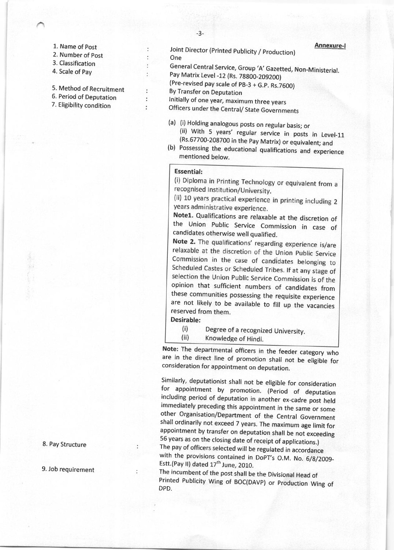- L. Name of post
- 2. Number of post
- 3. Classification
- 4. Scale of Pay
- 5. Method of Recruitment
- 6. Period of Deputation
- 7. Eligibility condition

Joint Director (Printed Publicity / Production) **Annexure-I** One

General Central Service, Group 'A' Gazetted, Non-Ministerial. Pay Matrix Level -12 (Rs. 78800-209200)

(Pre-revised pay scale of pB-3 + G.p. Rs.7GOO)

By Transfer on Deputation

Initially of one year, maximum three years

Officers under the Central/ State Governments

- (a) (i) Holding analogous posts on regular basis; or<br>(ii) With 5 years' regular service in posts in Level-11<br>(Rs.67700-208700 in the Pay Matrix) or equivalent; and<br>(b) Possessing the educational qualifications and experien
- mentioned below.

### Essential:

 $\cdot$ 

 $\ddot{\phantom{a}}$ 

(i) Diploma in Printing Technology or equivalent from a recognised Institution/University.

(ii) 10 years practical experience in printing including 2 years administrative experience.

Note1. Qualifications are relaxable at the discretion of the Union Public Service Commission in case of candidates otherwise well qualified.<br>Note 2. The qualifications' regarding experience is/are

relaxable at the discretion of the Union Public Service Commission in the case of candidates belonging to Scheduled Castes or Scheduled Tribes. If at any stage of selection the Union Public Service Commission is of the opinion that sufficient numbers of candidates from these communities possessing the requisite experience are not likely to be available to fill up the vacancies reserved from them.

Desirable:

(i) Degree of a recognized University.<br>(ii) Knowledge of Hindi.

Note: The departmental officers in the feeder category who are in the direct line of promotion shall not be eligible for consideration for appointment on deputation.

Similarly, deputationist shall not be eligible for consideration<br>for appointment by promotion. (Period of deputation<br>including period of deputation in another ex-cadre post held immediately preceding this appointment in the same or some other Organisation/Department of the Central Government shall ordinarily not exceed 7 years. The maximum age limit for appointment by transfer on deputation shall be not exceeding <sup>55</sup>years as on the closing date of receipt of applications.) The pay of officers selected will be regulated in accordance with the provisions contained in DoPT's O.M. No. 6/8/2009-

Estt.(Pay II) dated  $17<sup>th</sup>$  June, 2010.<br>The incumbent of the post shall be the Divisional Head of Printed Publicity Wing of BOC(DAVP) or Production Wing of DPD.

8. Pay Structure

9. Job requirement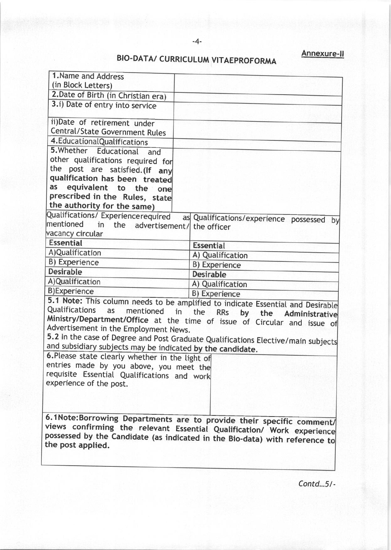# BIO.DATA/ CURRICULUM VITAEPROFORMA

| 1. Name and Address                                        |                                                                                                   |  |
|------------------------------------------------------------|---------------------------------------------------------------------------------------------------|--|
| (in Block Letters)                                         |                                                                                                   |  |
| 2. Date of Birth (in Christian era)                        |                                                                                                   |  |
| 3.i) Date of entry into service                            |                                                                                                   |  |
| ii)Date of retirement under                                |                                                                                                   |  |
| Central/State Government Rules                             |                                                                                                   |  |
| 4. Educational Qualifications                              |                                                                                                   |  |
| 5. Whether Educational and                                 |                                                                                                   |  |
| other qualifications required for                          |                                                                                                   |  |
| the post are satisfied. (If any                            |                                                                                                   |  |
| qualification has been treated                             |                                                                                                   |  |
| equivalent to the<br>as<br>one                             |                                                                                                   |  |
| prescribed in the Rules, state                             |                                                                                                   |  |
| the authority for the same)                                |                                                                                                   |  |
| Qualifications/ Experiencerequired                         | as Qualifications/experience possessed by                                                         |  |
| mentioned<br>in the advertisement/ the officer             |                                                                                                   |  |
| vacancy circular                                           |                                                                                                   |  |
| <b>Essential</b>                                           | <b>Essential</b>                                                                                  |  |
| A)Qualification                                            | A) Qualification                                                                                  |  |
| B) Experience                                              | B) Experience                                                                                     |  |
| <b>Desirable</b>                                           | <b>Desirable</b>                                                                                  |  |
| A)Qualification                                            | A) Qualification                                                                                  |  |
| <b>B)Experience</b>                                        | B) Experience                                                                                     |  |
|                                                            | 5.1 Note: This column needs to be amplified to indicate Essential and Desirable                   |  |
| Qualifications<br>as mentioned in                          | the<br><b>RRs</b><br>by                                                                           |  |
|                                                            | the<br>Administrative<br>Ministry/Department/Office at the time of issue of Circular and issue of |  |
| Advertisement in the Employment News.                      |                                                                                                   |  |
|                                                            | 5.2 In the case of Degree and Post Graduate Qualifications Elective/main subjects                 |  |
| and subsidiary subjects may be indicated by the candidate. |                                                                                                   |  |
| 6. Please state clearly whether in the light of            |                                                                                                   |  |
| entries made by you above, you meet the                    |                                                                                                   |  |
| requisite Essential Qualifications and work                |                                                                                                   |  |
| experience of the post.                                    |                                                                                                   |  |
|                                                            |                                                                                                   |  |
|                                                            |                                                                                                   |  |
|                                                            |                                                                                                   |  |
|                                                            | 6.1Note:Borrowing Departments are to provide their specific comment/                              |  |
|                                                            | views confirming the relevant Essential Qualification/ Work experience                            |  |
|                                                            | possessed by the Candidate (as indicated in the Bio-data) with reference to                       |  |
| the post applied.                                          |                                                                                                   |  |

 $\mathcal{C}$ ontd... $5$ /-

Annexure-ll